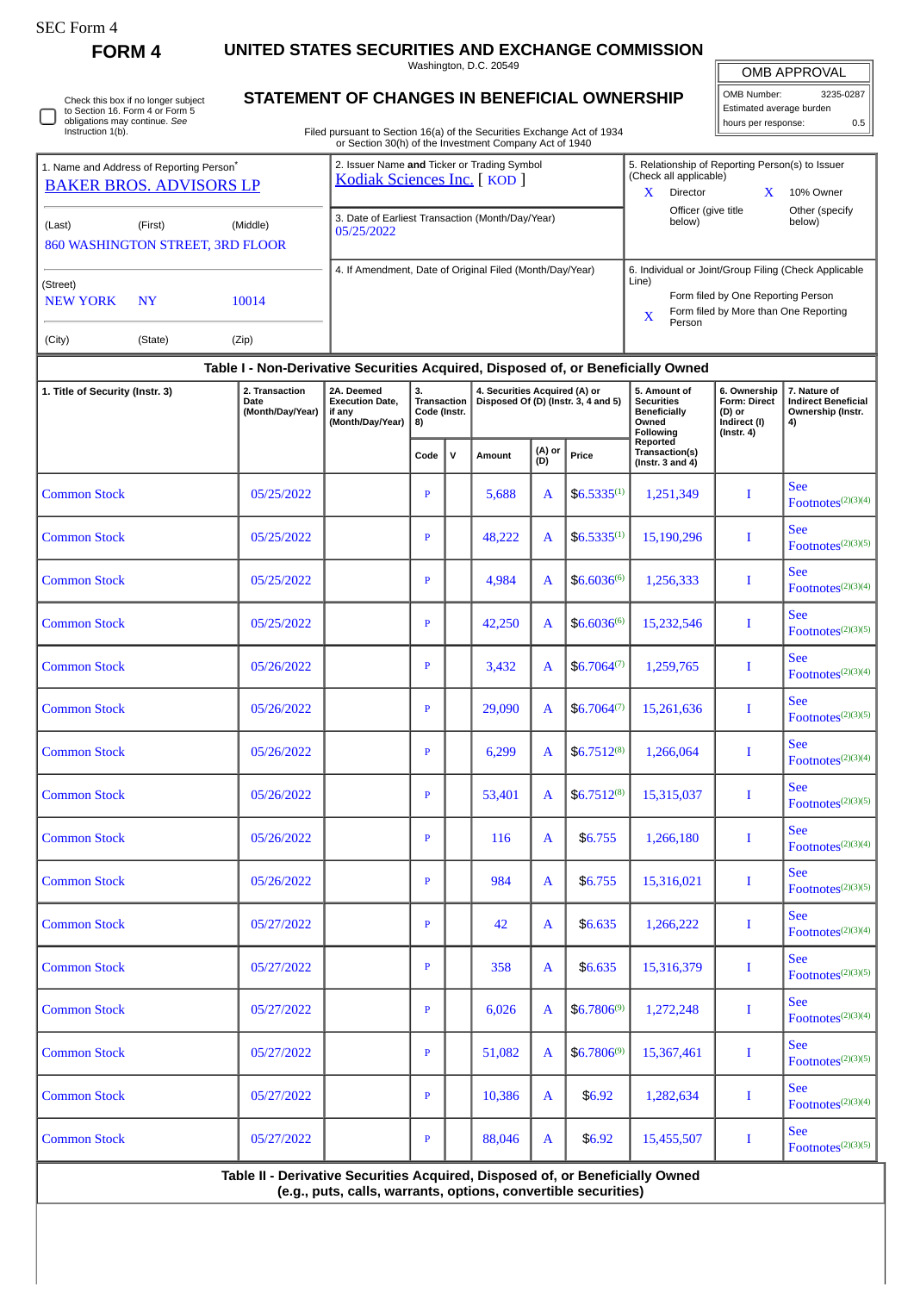| SEC Form |  |
|----------|--|
|----------|--|

П

**FORM 4 UNITED STATES SECURITIES AND EXCHANGE COMMISSION**

Washington, D.C. 20549

OMB APPROVAL

|  | Check this box if no longer subject<br>to Section 16. Form 4 or Form 5 | OMB Number:<br><b>STATEMENT OF CHANGES IN BENEFICIAL OWNERSHIP</b>                                                               |  |  |                                                                            |                     |                | 3235-0287<br>Estimated average burden |
|--|------------------------------------------------------------------------|----------------------------------------------------------------------------------------------------------------------------------|--|--|----------------------------------------------------------------------------|---------------------|----------------|---------------------------------------|
|  | obligations may continue. See<br>Instruction 1(b).                     | Filed pursuant to Section 16(a) of the Securities Exchange Act of 1934<br>or Section 30(h) of the Investment Company Act of 1940 |  |  |                                                                            | hours per response: |                | 0.5                                   |
|  | 1. Name and Address of Reporting Person <sup>®</sup>                   | 2. Issuer Name and Ticker or Trading Symbol<br>Kodiak Sciences Inc. [KOD]                                                        |  |  | 5. Relationship of Reporting Person(s) to Issuer<br>(Check all applicable) |                     |                |                                       |
|  | <b>BAKER BROS, ADVISORS LP</b>                                         |                                                                                                                                  |  |  | Director                                                                   |                     | 10% Owner      |                                       |
|  |                                                                        | $\cap$ Deta of Equipot Transposion (Month Doubleau)                                                                              |  |  | Officer (give title                                                        |                     | Other (specify |                                       |

| (Last)                         | (First)              | (Middle)<br><b>860 WASHINGTON STREET, 3RD FLOOR</b> | 3. Date of Earliest Transaction (Month/Day/Year)<br>05/25/2022 | Officer (give title)<br>Other (specify)<br>below)<br>below)                                                                                                                  |
|--------------------------------|----------------------|-----------------------------------------------------|----------------------------------------------------------------|------------------------------------------------------------------------------------------------------------------------------------------------------------------------------|
| (Street)<br>NEW YORK<br>(City) | <b>NY</b><br>(State) | 10014<br>(Zip)                                      | 4. If Amendment, Date of Original Filed (Month/Day/Year)       | 6. Individual or Joint/Group Filing (Check Applicable<br>Line)<br>Form filed by One Reporting Person<br>Form filed by More than One Reporting<br>$\mathbf{v}$<br>△<br>Person |

| 151416) |
|---------|
|         |

## **Table I - Non-Derivative Securities Acquired, Disposed of, or Beneficially Owned**

| 1. Title of Security (Instr. 3) | 2. Transaction<br>Date<br>(Month/Day/Year) | 2A. Deemed<br><b>Execution Date,</b><br>if any<br>(Month/Day/Year) | 3.<br>Transaction<br>Code (Instr.<br>8) |              | 4. Securities Acquired (A) or<br>Disposed Of (D) (Instr. 3, 4 and 5) |               |                  | 5. Amount of<br><b>Securities</b><br><b>Beneficially</b><br>Owned<br>Following | 6. Ownership<br><b>Form: Direct</b><br>(D) or<br>Indirect (I)<br>$($ Instr. 4 $)$ | 7. Nature of<br><b>Indirect Beneficial</b><br>Ownership (Instr.<br>4) |
|---------------------------------|--------------------------------------------|--------------------------------------------------------------------|-----------------------------------------|--------------|----------------------------------------------------------------------|---------------|------------------|--------------------------------------------------------------------------------|-----------------------------------------------------------------------------------|-----------------------------------------------------------------------|
|                                 |                                            |                                                                    | Code                                    | $\mathsf{v}$ | Amount                                                               | (A) or<br>(D) | Price            | Reported<br>Transaction(s)<br>(Instr. $3$ and $4$ )                            |                                                                                   |                                                                       |
| Common Stock                    | 05/25/2022                                 |                                                                    | $\, {\bf p}$                            |              | 5,688                                                                | A             | $$6.5335^{(1)}$$ | 1,251,349                                                                      | $\bf{I}$                                                                          | <b>See</b><br>$\text{Footnotes}^{(2)(3)(4)}$                          |
| <b>Common Stock</b>             | 05/25/2022                                 |                                                                    | $\mathbf{P}$                            |              | 48,222                                                               | A             | $$6.5335^{(1)}$$ | 15,190,296                                                                     | $\mathbf I$                                                                       | <b>See</b><br>Footnotes <sup>(2)(3)(5)</sup>                          |
| <b>Common Stock</b>             | 05/25/2022                                 |                                                                    | $\mathbf{P}$                            |              | 4,984                                                                | A             | $$6.6036^{(6)}$$ | 1,256,333                                                                      | I                                                                                 | <b>See</b><br>$\text{Footnotes}^{(2)(3)(4)}$                          |
| <b>Common Stock</b>             | 05/25/2022                                 |                                                                    | $\mathbf{P}$                            |              | 42,250                                                               | A             | $$6.6036^{(6)}$$ | 15,232,546                                                                     | I                                                                                 | <b>See</b><br>Footnotes <sup>(2)(3)(5)</sup>                          |
| <b>Common Stock</b>             | 05/26/2022                                 |                                                                    | $\mathbf{P}$                            |              | 3,432                                                                | A             | $$6.7064^{(7)}$$ | 1,259,765                                                                      | I                                                                                 | <b>See</b><br>$\text{Footnotes}^{(2)(3)(4)}$                          |
| <b>Common Stock</b>             | 05/26/2022                                 |                                                                    | $\, {\bf p}$                            |              | 29,090                                                               | A             | $$6.7064^{(7)}$  | 15,261,636                                                                     | $\bf{I}$                                                                          | <b>See</b><br>$\text{Footnotes}^{(2)(3)(5)}$                          |
| <b>Common Stock</b>             | 05/26/2022                                 |                                                                    | $\mathbf{P}$                            |              | 6,299                                                                | A             | $$6.7512^{(8)}$$ | 1,266,064                                                                      | $\bf I$                                                                           | <b>See</b><br>Footnotes $(2)(3)(4)$                                   |
| <b>Common Stock</b>             | 05/26/2022                                 |                                                                    | $\mathbf P$                             |              | 53,401                                                               | A             | $$6.7512^{(8)}$$ | 15,315,037                                                                     | I                                                                                 | <b>See</b><br>Footnotes $(2)(3)(5)$                                   |
| <b>Common Stock</b>             | 05/26/2022                                 |                                                                    | $\mathbf{P}$                            |              | 116                                                                  | A             | \$6.755          | 1,266,180                                                                      | $\bf{I}$                                                                          | <b>See</b><br>$\text{Footnotes}^{(2)(3)(4)}$                          |
| <b>Common Stock</b>             | 05/26/2022                                 |                                                                    | $\, {\bf p}$                            |              | 984                                                                  | A             | \$6.755          | 15,316,021                                                                     | $\bf{I}$                                                                          | <b>See</b><br>$\text{ Footnotes}^{(2)(3)(5)}$                         |
| <b>Common Stock</b>             | 05/27/2022                                 |                                                                    | $\, {\bf p}$                            |              | 42                                                                   | A             | \$6.635          | 1,266,222                                                                      | $\bf{I}$                                                                          | <b>See</b><br>Footnotes <sup>(2)(3)(4)</sup>                          |
| <b>Common Stock</b>             | 05/27/2022                                 |                                                                    | $\mathbf P$                             |              | 358                                                                  | A             | \$6.635          | 15,316,379                                                                     | I                                                                                 | <b>See</b><br>$\text{Footnotes}^{(2)(3)(5)}$                          |
| <b>Common Stock</b>             | 05/27/2022                                 |                                                                    | $\mathbf P$                             |              | 6,026                                                                | A             | $$6.7806^{(9)}$  | 1,272,248                                                                      | I                                                                                 | <b>See</b><br>$\text{Footnotes}^{(2)(3)(4)}$                          |
| <b>Common Stock</b>             | 05/27/2022                                 |                                                                    | $\mathbf P$                             |              | 51,082                                                               | A             | $$6.7806^{(9)}$  | 15,367,461                                                                     | I                                                                                 | <b>See</b><br>$\text{Footnotes}^{(2)(3)(5)}$                          |
| <b>Common Stock</b>             | 05/27/2022                                 |                                                                    | $\mathbf P$                             |              | 10,386                                                               | A             | \$6.92           | 1,282,634                                                                      | I                                                                                 | <b>See</b><br>$\text{ Footnotes}^{(2)(3)(4)}$                         |
| <b>Common Stock</b>             | 05/27/2022                                 |                                                                    | $\, {\bf p}$                            |              | 88,046                                                               | A             | \$6.92           | 15,455,507                                                                     | I                                                                                 | See<br>$\text{Footnotes}^{(2)(3)(5)}$                                 |

**Table II - Derivative Securities Acquired, Disposed of, or Beneficially Owned (e.g., puts, calls, warrants, options, convertible securities)**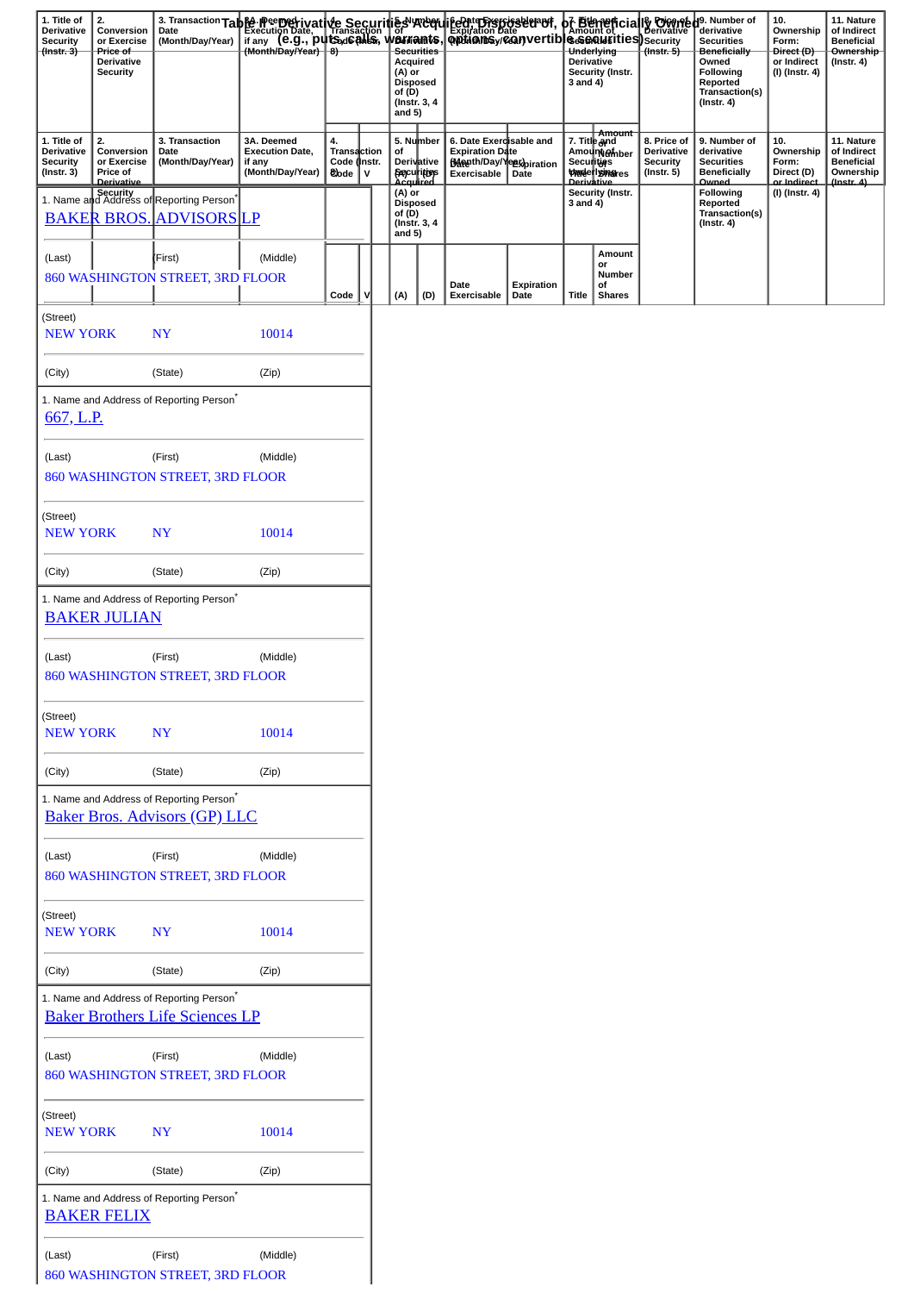| 1. Title of<br><b>Derivative</b><br><b>Security</b><br>$($ (instr. 3) | 2.<br>Conversion<br>or Exercise<br>Price of<br><b>Derivative</b><br><b>Security</b> |                                                                                        | 3. Transaction Table incernetivative Securities vacefulieent Freeposseder of , it and the Execution Date<br>Date Execution Date incernetic incernetic metals in the Expiration Date<br>(Month/Day/Year) (B.G., puts, de Calis, were |                                                  |             | (A) or<br>of (D)<br>and $5)$ | Acquired<br><b>Disposed</b><br>(Instr. 3, 4) |                                                                                                     |                    | <b>Derivative</b><br>3 and 4)     | <b>S&amp;&amp;QQU{SitieS)</b> Security<br>Underlying<br>Security (Instr. | $($ Instr. 5 $)$                                                 | of Bigmencially Digment de Number of<br><b>Securities</b><br><b>Beneficially</b><br>Owned<br>Following<br>Reported<br>Transaction(s)<br>$($ Instr. 4 $)$ | 10.<br>Ownership<br>Form:<br>Direct (D)<br>or Indirect<br>(I) (Instr. 4) | 11. Nature<br>of Indirect<br><b>Beneficial</b><br>Ownership<br>$($ Instr. 4 $)$ |
|-----------------------------------------------------------------------|-------------------------------------------------------------------------------------|----------------------------------------------------------------------------------------|-------------------------------------------------------------------------------------------------------------------------------------------------------------------------------------------------------------------------------------|--------------------------------------------------|-------------|------------------------------|----------------------------------------------|-----------------------------------------------------------------------------------------------------|--------------------|-----------------------------------|--------------------------------------------------------------------------|------------------------------------------------------------------|----------------------------------------------------------------------------------------------------------------------------------------------------------|--------------------------------------------------------------------------|---------------------------------------------------------------------------------|
| 1. Title of<br>Derivative<br><b>Security</b><br>$($ Instr. 3 $)$      | 2.<br>Conversion<br>or Exercise<br>Price of<br>Derivative                           | 3. Transaction<br>Date<br>(Month/Day/Year)                                             | 3A. Deemed<br><b>Execution Date,</b><br>if any<br>(Month/Day/Year)                                                                                                                                                                  | 4.<br>Transaction<br>Code (Instr.<br><b>Code</b> | $\mathbf v$ | of                           | 5. Number<br><b>Derivative</b><br>Securities | 6. Date Exerdisable and<br><b>Expiration Date</b><br><b>Banenth/Day/Yegopiration</b><br>Exercisable | Date               | 7. Title and<br><b>Securities</b> | Amount<br>Amount@mber<br><b><i>Underlyinares</i></b><br>Derivative       | 8. Price of<br>Derivative<br><b>Security</b><br>$($ Instr. 5 $)$ | 9. Number of<br>derivative<br><b>Securities</b><br><b>Beneficially</b><br><b>Owned</b>                                                                   | 10.<br>Ownership<br>Form:<br>Direct (D)<br>or Indirect                   | 11. Nature<br>of Indirect<br><b>Beneficial</b><br>Ownership<br>(Instr. 4)       |
|                                                                       |                                                                                     | 1. Name and Address of Reporting Person <sup>*</sup><br><b>BAKER BROS. ADVISORS LP</b> |                                                                                                                                                                                                                                     |                                                  |             | $(A)$ or<br>of (D)           | <b>Disposed</b><br>(Instr. 3, 4<br>and $5)$  |                                                                                                     |                    | 3 and 4)                          | Security (Instr.                                                         |                                                                  | Following<br>Reported<br>Transaction(s)<br>$($ Instr. 4 $)$                                                                                              | (I) (Instr. 4)                                                           |                                                                                 |
| (Last)                                                                |                                                                                     | (First)<br>860 WASHINGTON STREET, 3RD FLOOR                                            | (Middle)                                                                                                                                                                                                                            | Code                                             | v           | (A)                          | (D)                                          | Date<br><b>Exercisable</b>                                                                          | Expiration<br>Date | Title                             | Amount<br>or<br>Number<br>of<br><b>Shares</b>                            |                                                                  |                                                                                                                                                          |                                                                          |                                                                                 |
| (Street)<br><b>NEW YORK</b>                                           |                                                                                     | <b>NY</b>                                                                              | 10014                                                                                                                                                                                                                               |                                                  |             |                              |                                              |                                                                                                     |                    |                                   |                                                                          |                                                                  |                                                                                                                                                          |                                                                          |                                                                                 |
| (City)                                                                |                                                                                     | (State)                                                                                | (Zip)                                                                                                                                                                                                                               |                                                  |             |                              |                                              |                                                                                                     |                    |                                   |                                                                          |                                                                  |                                                                                                                                                          |                                                                          |                                                                                 |
| 667, L.P.                                                             |                                                                                     | 1. Name and Address of Reporting Person <sup>*</sup>                                   |                                                                                                                                                                                                                                     |                                                  |             |                              |                                              |                                                                                                     |                    |                                   |                                                                          |                                                                  |                                                                                                                                                          |                                                                          |                                                                                 |
| (Last)                                                                |                                                                                     | (First)<br>860 WASHINGTON STREET, 3RD FLOOR                                            | (Middle)                                                                                                                                                                                                                            |                                                  |             |                              |                                              |                                                                                                     |                    |                                   |                                                                          |                                                                  |                                                                                                                                                          |                                                                          |                                                                                 |
| (Street)<br><b>NEW YORK</b>                                           |                                                                                     | <b>NY</b>                                                                              | 10014                                                                                                                                                                                                                               |                                                  |             |                              |                                              |                                                                                                     |                    |                                   |                                                                          |                                                                  |                                                                                                                                                          |                                                                          |                                                                                 |
| (City)                                                                |                                                                                     | (State)                                                                                | (Zip)                                                                                                                                                                                                                               |                                                  |             |                              |                                              |                                                                                                     |                    |                                   |                                                                          |                                                                  |                                                                                                                                                          |                                                                          |                                                                                 |
|                                                                       | <b>BAKER JULIAN</b>                                                                 | 1. Name and Address of Reporting Person <sup>*</sup>                                   |                                                                                                                                                                                                                                     |                                                  |             |                              |                                              |                                                                                                     |                    |                                   |                                                                          |                                                                  |                                                                                                                                                          |                                                                          |                                                                                 |
| (Last)                                                                |                                                                                     | (First)<br>860 WASHINGTON STREET, 3RD FLOOR                                            | (Middle)                                                                                                                                                                                                                            |                                                  |             |                              |                                              |                                                                                                     |                    |                                   |                                                                          |                                                                  |                                                                                                                                                          |                                                                          |                                                                                 |
| (Street)<br><b>NEW YORK</b>                                           |                                                                                     | <b>NY</b>                                                                              | 10014                                                                                                                                                                                                                               |                                                  |             |                              |                                              |                                                                                                     |                    |                                   |                                                                          |                                                                  |                                                                                                                                                          |                                                                          |                                                                                 |
| (City)                                                                |                                                                                     | (State)                                                                                | (Zip)                                                                                                                                                                                                                               |                                                  |             |                              |                                              |                                                                                                     |                    |                                   |                                                                          |                                                                  |                                                                                                                                                          |                                                                          |                                                                                 |
|                                                                       |                                                                                     | 1. Name and Address of Reporting Person*<br><b>Baker Bros. Advisors (GP) LLC</b>       |                                                                                                                                                                                                                                     |                                                  |             |                              |                                              |                                                                                                     |                    |                                   |                                                                          |                                                                  |                                                                                                                                                          |                                                                          |                                                                                 |
| (Last)                                                                |                                                                                     | (First)<br>860 WASHINGTON STREET, 3RD FLOOR                                            | (Middle)                                                                                                                                                                                                                            |                                                  |             |                              |                                              |                                                                                                     |                    |                                   |                                                                          |                                                                  |                                                                                                                                                          |                                                                          |                                                                                 |
| (Street)<br><b>NEW YORK</b>                                           |                                                                                     | <b>NY</b>                                                                              | 10014                                                                                                                                                                                                                               |                                                  |             |                              |                                              |                                                                                                     |                    |                                   |                                                                          |                                                                  |                                                                                                                                                          |                                                                          |                                                                                 |
| (City)                                                                |                                                                                     | (State)                                                                                | (Zip)                                                                                                                                                                                                                               |                                                  |             |                              |                                              |                                                                                                     |                    |                                   |                                                                          |                                                                  |                                                                                                                                                          |                                                                          |                                                                                 |
|                                                                       |                                                                                     | 1. Name and Address of Reporting Person*<br><b>Baker Brothers Life Sciences LP</b>     |                                                                                                                                                                                                                                     |                                                  |             |                              |                                              |                                                                                                     |                    |                                   |                                                                          |                                                                  |                                                                                                                                                          |                                                                          |                                                                                 |
| (Last)                                                                |                                                                                     | (First)<br>860 WASHINGTON STREET, 3RD FLOOR                                            | (Middle)                                                                                                                                                                                                                            |                                                  |             |                              |                                              |                                                                                                     |                    |                                   |                                                                          |                                                                  |                                                                                                                                                          |                                                                          |                                                                                 |
| (Street)<br><b>NEW YORK</b>                                           |                                                                                     | <b>NY</b>                                                                              | 10014                                                                                                                                                                                                                               |                                                  |             |                              |                                              |                                                                                                     |                    |                                   |                                                                          |                                                                  |                                                                                                                                                          |                                                                          |                                                                                 |
| (City)                                                                |                                                                                     | (State)                                                                                | (Zip)                                                                                                                                                                                                                               |                                                  |             |                              |                                              |                                                                                                     |                    |                                   |                                                                          |                                                                  |                                                                                                                                                          |                                                                          |                                                                                 |
|                                                                       | <b>BAKER FELIX</b>                                                                  | 1. Name and Address of Reporting Person <sup>*</sup>                                   |                                                                                                                                                                                                                                     |                                                  |             |                              |                                              |                                                                                                     |                    |                                   |                                                                          |                                                                  |                                                                                                                                                          |                                                                          |                                                                                 |
| (Last)                                                                |                                                                                     | (First)<br>860 WASHINGTON STREET, 3RD FLOOR                                            | (Middle)                                                                                                                                                                                                                            |                                                  |             |                              |                                              |                                                                                                     |                    |                                   |                                                                          |                                                                  |                                                                                                                                                          |                                                                          |                                                                                 |